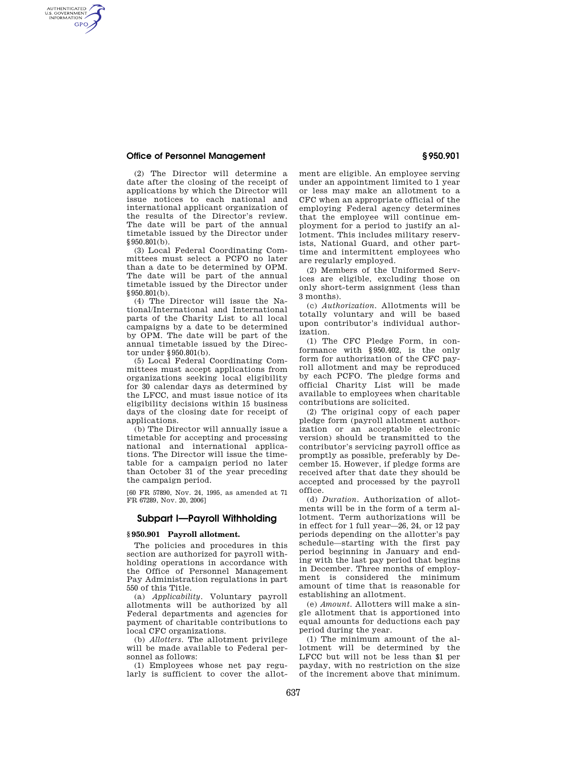# **Office of Personnel Management § 950.901**

AUTHENTICATED<br>U.S. GOVERNMENT<br>INFORMATION **GPO** 

> (2) The Director will determine a date after the closing of the receipt of applications by which the Director will issue notices to each national and international applicant organization of the results of the Director's review. The date will be part of the annual timetable issued by the Director under §950.801(b).

> (3) Local Federal Coordinating Committees must select a PCFO no later than a date to be determined by OPM. The date will be part of the annual timetable issued by the Director under §950.801(b).

> (4) The Director will issue the National/International and International parts of the Charity List to all local campaigns by a date to be determined by OPM. The date will be part of the annual timetable issued by the Director under §950.801(b).

> (5) Local Federal Coordinating Committees must accept applications from organizations seeking local eligibility for 30 calendar days as determined by the LFCC, and must issue notice of its eligibility decisions within 15 business days of the closing date for receipt of applications.

> (b) The Director will annually issue a timetable for accepting and processing national and international applications. The Director will issue the timetable for a campaign period no later than October 31 of the year preceding the campaign period.

> [60 FR 57890, Nov. 24, 1995, as amended at 71 FR 67289, Nov. 20, 2006]

# **Subpart I—Payroll Withholding**

### **§ 950.901 Payroll allotment.**

The policies and procedures in this section are authorized for payroll withholding operations in accordance with the Office of Personnel Management Pay Administration regulations in part 550 of this Title.

(a) *Applicability.* Voluntary payroll allotments will be authorized by all Federal departments and agencies for payment of charitable contributions to local CFC organizations.

(b) *Allotters.* The allotment privilege will be made available to Federal personnel as follows:

(1) Employees whose net pay regularly is sufficient to cover the allotment are eligible. An employee serving under an appointment limited to 1 year or less may make an allotment to a CFC when an appropriate official of the employing Federal agency determines that the employee will continue employment for a period to justify an allotment. This includes military reservists, National Guard, and other parttime and intermittent employees who are regularly employed.

(2) Members of the Uniformed Services are eligible, excluding those on only short-term assignment (less than 3 months).

(c) *Authorization.* Allotments will be totally voluntary and will be based upon contributor's individual authorization.

(1) The CFC Pledge Form, in conformance with §950.402, is the only form for authorization of the CFC payroll allotment and may be reproduced by each PCFO. The pledge forms and official Charity List will be made available to employees when charitable contributions are solicited.

(2) The original copy of each paper pledge form (payroll allotment authorization or an acceptable electronic version) should be transmitted to the contributor's servicing payroll office as promptly as possible, preferably by December 15. However, if pledge forms are received after that date they should be accepted and processed by the payroll office.

(d) *Duration.* Authorization of allotments will be in the form of a term allotment. Term authorizations will be in effect for 1 full year—26, 24, or 12 pay periods depending on the allotter's pay schedule—starting with the first pay period beginning in January and ending with the last pay period that begins in December. Three months of employment is considered the minimum amount of time that is reasonable for establishing an allotment.

(e) *Amount.* Allotters will make a single allotment that is apportioned into equal amounts for deductions each pay period during the year.

(1) The minimum amount of the allotment will be determined by the LFCC but will not be less than \$1 per payday, with no restriction on the size of the increment above that minimum.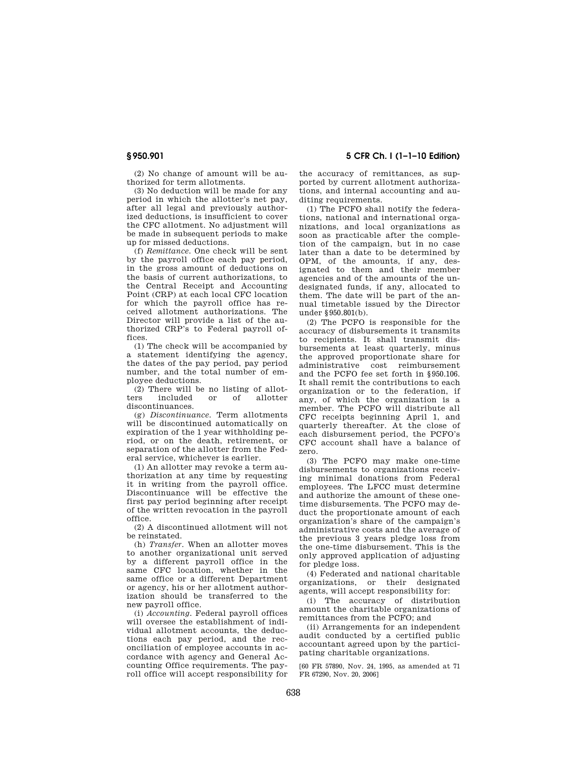**§ 950.901 5 CFR Ch. I (1–1–10 Edition)** 

(2) No change of amount will be authorized for term allotments.

(3) No deduction will be made for any period in which the allotter's net pay, after all legal and previously authorized deductions, is insufficient to cover the CFC allotment. No adjustment will be made in subsequent periods to make up for missed deductions.

(f) *Remittance.* One check will be sent by the payroll office each pay period, in the gross amount of deductions on the basis of current authorizations, to the Central Receipt and Accounting Point (CRP) at each local CFC location for which the payroll office has received allotment authorizations. The Director will provide a list of the authorized CRP's to Federal payroll offices.

(1) The check will be accompanied by a statement identifying the agency, the dates of the pay period, pay period number, and the total number of employee deductions.

(2) There will be no listing of allot-<br>rs included or of allotter ters included or discontinuances.

(g) *Discontinuance.* Term allotments will be discontinued automatically on expiration of the 1 year withholding period, or on the death, retirement, or separation of the allotter from the Federal service, whichever is earlier.

(1) An allotter may revoke a term authorization at any time by requesting it in writing from the payroll office. Discontinuance will be effective the first pay period beginning after receipt of the written revocation in the payroll office.

(2) A discontinued allotment will not be reinstated.

(h) *Transfer.* When an allotter moves to another organizational unit served by a different payroll office in the same CFC location, whether in the same office or a different Department or agency, his or her allotment authorization should be transferred to the new payroll office.

(i) *Accounting.* Federal payroll offices will oversee the establishment of individual allotment accounts, the deductions each pay period, and the reconciliation of employee accounts in accordance with agency and General Accounting Office requirements. The payroll office will accept responsibility for the accuracy of remittances, as supported by current allotment authorizations, and internal accounting and auditing requirements.

(1) The PCFO shall notify the federations, national and international organizations, and local organizations as soon as practicable after the completion of the campaign, but in no case later than a date to be determined by OPM, of the amounts, if any, designated to them and their member agencies and of the amounts of the undesignated funds, if any, allocated to them. The date will be part of the annual timetable issued by the Director under §950.801(b).

(2) The PCFO is responsible for the accuracy of disbursements it transmits to recipients. It shall transmit disbursements at least quarterly, minus the approved proportionate share for administrative cost reimbursement and the PCFO fee set forth in §950.106. It shall remit the contributions to each organization or to the federation, if any, of which the organization is a member. The PCFO will distribute all CFC receipts beginning April 1, and quarterly thereafter. At the close of each disbursement period, the PCFO's CFC account shall have a balance of zero.

(3) The PCFO may make one-time disbursements to organizations receiving minimal donations from Federal employees. The LFCC must determine and authorize the amount of these onetime disbursements. The PCFO may deduct the proportionate amount of each organization's share of the campaign's administrative costs and the average of the previous 3 years pledge loss from the one-time disbursement. This is the only approved application of adjusting for pledge loss.

(4) Federated and national charitable organizations, or their designated agents, will accept responsibility for:

(i) The accuracy of distribution amount the charitable organizations of remittances from the PCFO; and

(ii) Arrangements for an independent audit conducted by a certified public accountant agreed upon by the participating charitable organizations.

[60 FR 57890, Nov. 24, 1995, as amended at 71 FR 67290, Nov. 20, 2006]